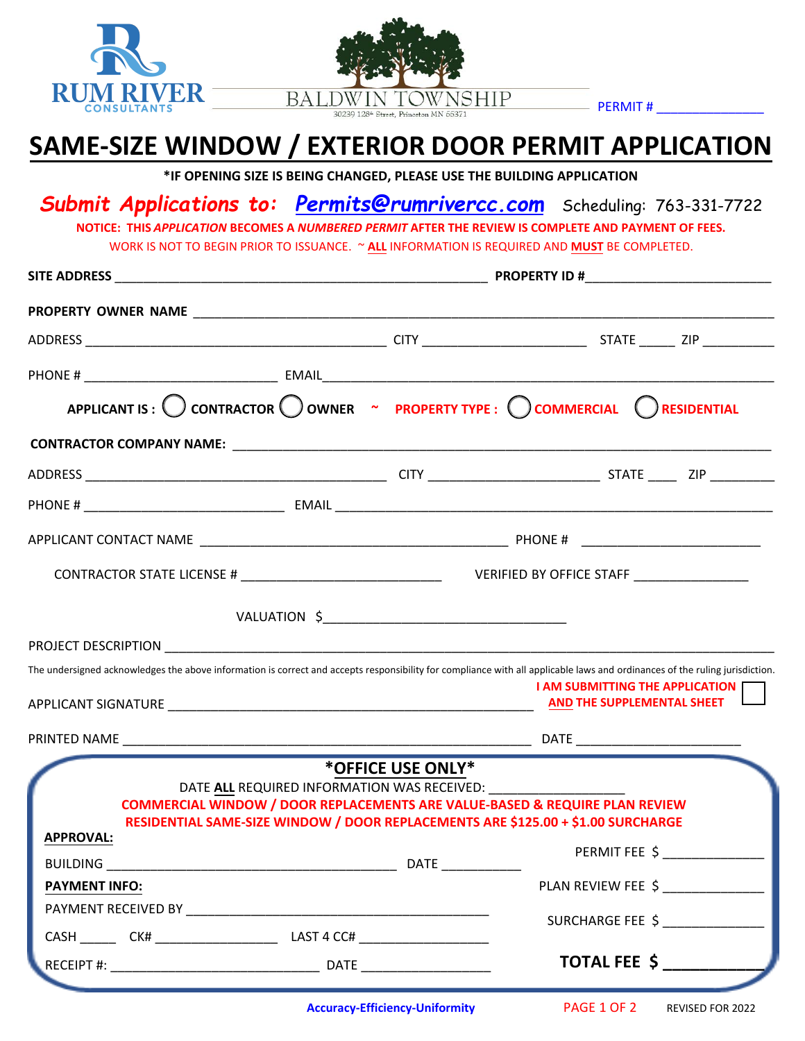



 $-$  PERMIT#

## **SAME-SIZE WINDOW / EXTERIOR DOOR PERMIT APPLICATION**

**\*IF OPENING SIZE IS BEING CHANGED, PLEASE USE THE BUILDING APPLICATION**

## *Submit Applications to: Permits@rumrivercc.com* Scheduling: 763-331-7722

**NOTICE: THIS** *APPLICATION* **BECOMES A** *NUMBERED PERMIT* **AFTER THE REVIEW IS COMPLETE AND PAYMENT OF FEES.** WORK IS NOT TO BEGIN PRIOR TO ISSUANCE. ~ **ALL** INFORMATION IS REQUIRED AND **MUST** BE COMPLETED.

|                      |                                                                                                                                                                            | APPLICANT IS : $\bigcirc$ contractor $\bigcirc$ owner $\sim$ property type : $\bigcirc$ commercial $\bigcirc$ residential                                                   |
|----------------------|----------------------------------------------------------------------------------------------------------------------------------------------------------------------------|-----------------------------------------------------------------------------------------------------------------------------------------------------------------------------|
|                      |                                                                                                                                                                            |                                                                                                                                                                             |
|                      |                                                                                                                                                                            |                                                                                                                                                                             |
|                      |                                                                                                                                                                            |                                                                                                                                                                             |
|                      |                                                                                                                                                                            |                                                                                                                                                                             |
|                      |                                                                                                                                                                            |                                                                                                                                                                             |
|                      |                                                                                                                                                                            |                                                                                                                                                                             |
|                      |                                                                                                                                                                            |                                                                                                                                                                             |
|                      |                                                                                                                                                                            |                                                                                                                                                                             |
|                      |                                                                                                                                                                            | The undersigned acknowledges the above information is correct and accepts responsibility for compliance with all applicable laws and ordinances of the ruling jurisdiction. |
|                      |                                                                                                                                                                            | <b>I AM SUBMITTING THE APPLICATION F</b>                                                                                                                                    |
|                      |                                                                                                                                                                            | AND THE SUPPLEMENTAL SHEET                                                                                                                                                  |
|                      |                                                                                                                                                                            |                                                                                                                                                                             |
|                      | *OFFICE USE ONLY*                                                                                                                                                          |                                                                                                                                                                             |
|                      | DATE ALL REQUIRED INFORMATION WAS RECEIVED:                                                                                                                                |                                                                                                                                                                             |
|                      | <b>COMMERCIAL WINDOW / DOOR REPLACEMENTS ARE VALUE-BASED &amp; REQUIRE PLAN REVIEW</b><br>RESIDENTIAL SAME-SIZE WINDOW / DOOR REPLACEMENTS ARE \$125.00 + \$1.00 SURCHARGE |                                                                                                                                                                             |
| <b>APPROVAL:</b>     |                                                                                                                                                                            |                                                                                                                                                                             |
|                      | BUILDING DATE DATE                                                                                                                                                         | PERMIT FEE \$                                                                                                                                                               |
| <b>PAYMENT INFO:</b> |                                                                                                                                                                            | PLAN REVIEW FEE \$                                                                                                                                                          |
|                      |                                                                                                                                                                            | SURCHARGE FEE \$                                                                                                                                                            |

**Accuracy-Efficiency-Uniformity** PAGE 1 OF 2 REVISED FOR 2022

PAGE 1 OF 2